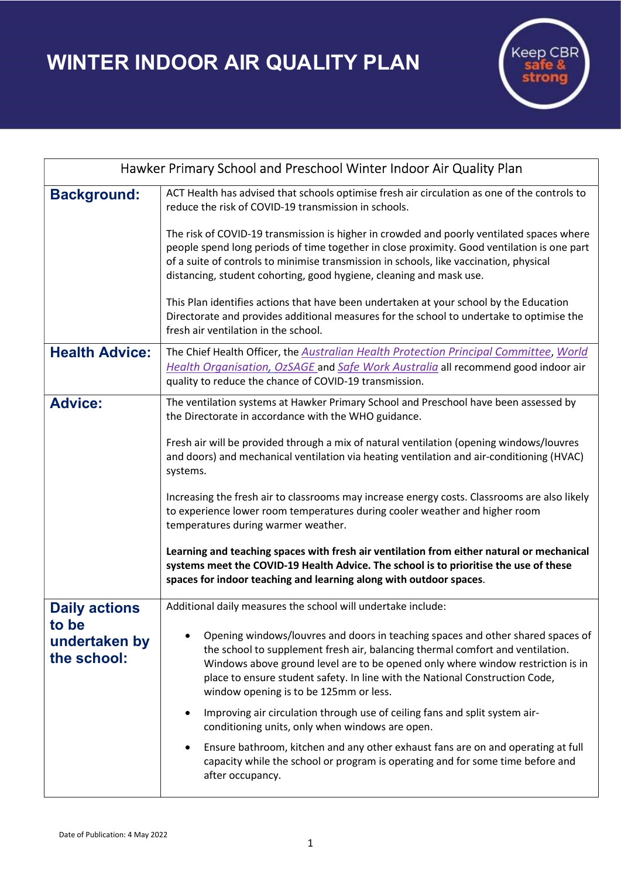WINTER INDOOR AIR QUALITY PLAN



| Hawker Primary School and Preschool Winter Indoor Air Quality Plan |                                                                                                                                                                                                                                                                                                                                                                                |
|--------------------------------------------------------------------|--------------------------------------------------------------------------------------------------------------------------------------------------------------------------------------------------------------------------------------------------------------------------------------------------------------------------------------------------------------------------------|
| <b>Background:</b>                                                 | ACT Health has advised that schools optimise fresh air circulation as one of the controls to<br>reduce the risk of COVID-19 transmission in schools.                                                                                                                                                                                                                           |
|                                                                    | The risk of COVID-19 transmission is higher in crowded and poorly ventilated spaces where<br>people spend long periods of time together in close proximity. Good ventilation is one part<br>of a suite of controls to minimise transmission in schools, like vaccination, physical<br>distancing, student cohorting, good hygiene, cleaning and mask use.                      |
|                                                                    | This Plan identifies actions that have been undertaken at your school by the Education<br>Directorate and provides additional measures for the school to undertake to optimise the<br>fresh air ventilation in the school.                                                                                                                                                     |
| <b>Health Advice:</b>                                              | The Chief Health Officer, the Australian Health Protection Principal Committee, World<br>Health Organisation, OzSAGE and Safe Work Australia all recommend good indoor air<br>quality to reduce the chance of COVID-19 transmission.                                                                                                                                           |
| <b>Advice:</b>                                                     | The ventilation systems at Hawker Primary School and Preschool have been assessed by<br>the Directorate in accordance with the WHO guidance.                                                                                                                                                                                                                                   |
|                                                                    | Fresh air will be provided through a mix of natural ventilation (opening windows/louvres<br>and doors) and mechanical ventilation via heating ventilation and air-conditioning (HVAC)<br>systems.                                                                                                                                                                              |
|                                                                    | Increasing the fresh air to classrooms may increase energy costs. Classrooms are also likely<br>to experience lower room temperatures during cooler weather and higher room<br>temperatures during warmer weather.                                                                                                                                                             |
|                                                                    | Learning and teaching spaces with fresh air ventilation from either natural or mechanical<br>systems meet the COVID-19 Health Advice. The school is to prioritise the use of these<br>spaces for indoor teaching and learning along with outdoor spaces.                                                                                                                       |
| <b>Daily actions</b><br>to be<br>undertaken by<br>the school:      | Additional daily measures the school will undertake include:                                                                                                                                                                                                                                                                                                                   |
|                                                                    | Opening windows/louvres and doors in teaching spaces and other shared spaces of<br>the school to supplement fresh air, balancing thermal comfort and ventilation.<br>Windows above ground level are to be opened only where window restriction is in<br>place to ensure student safety. In line with the National Construction Code,<br>window opening is to be 125mm or less. |
|                                                                    | Improving air circulation through use of ceiling fans and split system air-<br>conditioning units, only when windows are open.                                                                                                                                                                                                                                                 |
|                                                                    | Ensure bathroom, kitchen and any other exhaust fans are on and operating at full<br>capacity while the school or program is operating and for some time before and<br>after occupancy.                                                                                                                                                                                         |